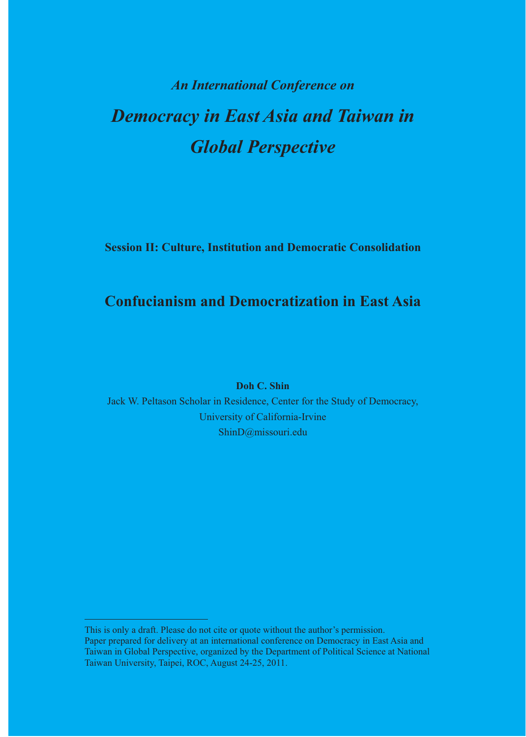## **An International Conference on Democracy in East Asia and Taiwan in Global Perspective**

**Session II: Culture, Institution and Democratic Consolidation** 

## **Confucianism and Democratization in East Asia**

**Doh C. Shin** 

Jack W. Peltason Scholar in Residence, Center for the Study of Democracy, University of California-Irvine ShinD@missouri.edu

This is only a draft. Please do not cite or quote without the author's permission. Paper prepared for delivery at an international conference on Democracy in East Asia and Taiwan in Global Perspective, organized by the Department of Political Science at National Taiwan University, Taipei, ROC, August 24-25, 2011.